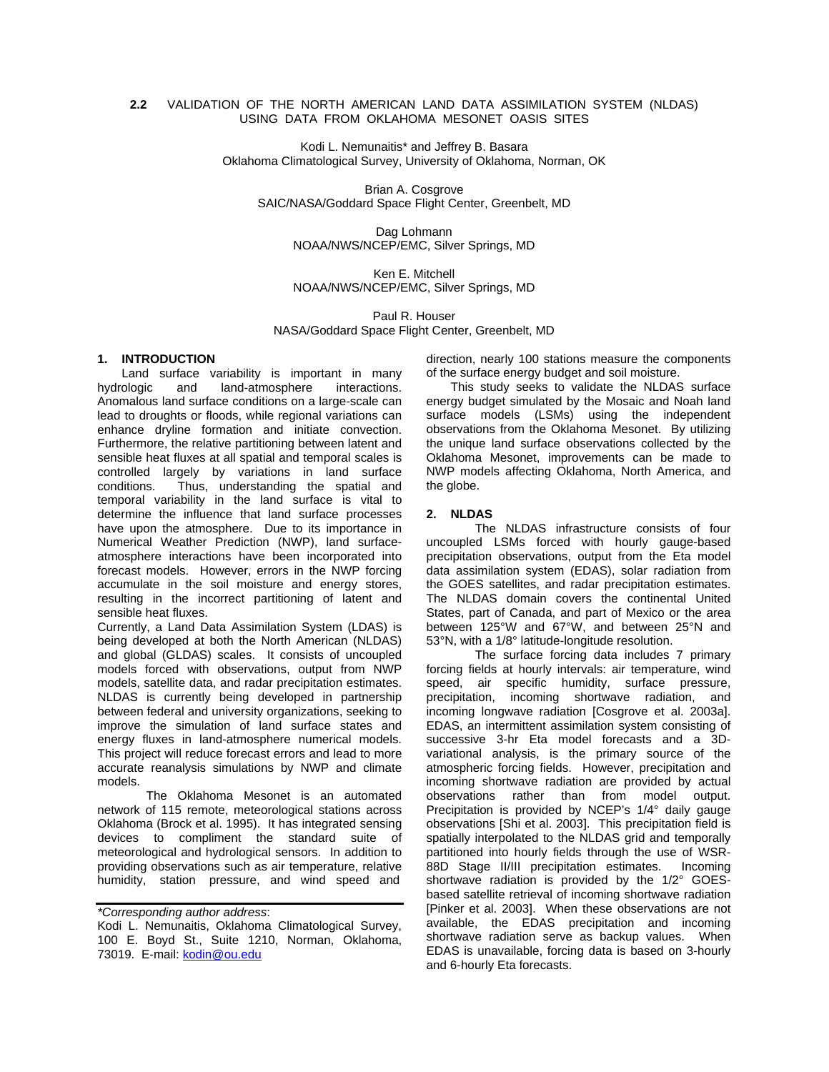### **2.2** VALIDATION OF THE NORTH AMERICAN LAND DATA ASSIMILATION SYSTEM (NLDAS) USING DATA FROM OKLAHOMA MESONET OASIS SITES

Kodi L. Nemunaitis\* and Jeffrey B. Basara Oklahoma Climatological Survey, University of Oklahoma, Norman, OK

Brian A. Cosgrove SAIC/NASA/Goddard Space Flight Center, Greenbelt, MD

> Dag Lohmann NOAA/NWS/NCEP/EMC, Silver Springs, MD

> Ken E. Mitchell NOAA/NWS/NCEP/EMC, Silver Springs, MD

Paul R. Houser NASA/Goddard Space Flight Center, Greenbelt, MD

## **1. INTRODUCTION**

Land surface variability is important in many hydrologic and land-atmosphere interactions. Anomalous land surface conditions on a large-scale can lead to droughts or floods, while regional variations can enhance dryline formation and initiate convection. Furthermore, the relative partitioning between latent and sensible heat fluxes at all spatial and temporal scales is controlled largely by variations in land surface conditions. Thus, understanding the spatial and temporal variability in the land surface is vital to determine the influence that land surface processes have upon the atmosphere. Due to its importance in Numerical Weather Prediction (NWP), land surfaceatmosphere interactions have been incorporated into forecast models. However, errors in the NWP forcing accumulate in the soil moisture and energy stores, resulting in the incorrect partitioning of latent and sensible heat fluxes.

Currently, a Land Data Assimilation System (LDAS) is being developed at both the North American (NLDAS) and global (GLDAS) scales. It consists of uncoupled models forced with observations, output from NWP models, satellite data, and radar precipitation estimates. NLDAS is currently being developed in partnership between federal and university organizations, seeking to improve the simulation of land surface states and energy fluxes in land-atmosphere numerical models. This project will reduce forecast errors and lead to more accurate reanalysis simulations by NWP and climate models.

 The Oklahoma Mesonet is an automated network of 115 remote, meteorological stations across Oklahoma (Brock et al. 1995). It has integrated sensing devices to compliment the standard suite of meteorological and hydrological sensors. In addition to providing observations such as air temperature, relative humidity, station pressure, and wind speed and

*\*Corresponding author address*:

Kodi L. Nemunaitis, Oklahoma Climatological Survey, 100 E. Boyd St., Suite 1210, Norman, Oklahoma, 73019. E-mail: kodin@ou.edu

direction, nearly 100 stations measure the components of the surface energy budget and soil moisture.

This study seeks to validate the NLDAS surface energy budget simulated by the Mosaic and Noah land surface models (LSMs) using the independent observations from the Oklahoma Mesonet. By utilizing the unique land surface observations collected by the Oklahoma Mesonet, improvements can be made to NWP models affecting Oklahoma, North America, and the globe.

## **2. NLDAS**

 The NLDAS infrastructure consists of four uncoupled LSMs forced with hourly gauge-based precipitation observations, output from the Eta model data assimilation system (EDAS), solar radiation from the GOES satellites, and radar precipitation estimates. The NLDAS domain covers the continental United States, part of Canada, and part of Mexico or the area between 125°W and 67°W, and between 25°N and 53°N, with a 1/8° latitude-longitude resolution.

 The surface forcing data includes 7 primary forcing fields at hourly intervals: air temperature, wind speed, air specific humidity, surface pressure, precipitation, incoming shortwave radiation, and incoming longwave radiation [Cosgrove et al. 2003a]. EDAS, an intermittent assimilation system consisting of successive 3-hr Eta model forecasts and a 3Dvariational analysis, is the primary source of the atmospheric forcing fields. However, precipitation and incoming shortwave radiation are provided by actual observations rather than from model output. Precipitation is provided by NCEP's 1/4° daily gauge observations [Shi et al. 2003]. This precipitation field is spatially interpolated to the NLDAS grid and temporally partitioned into hourly fields through the use of WSR-88D Stage II/III precipitation estimates. Incoming shortwave radiation is provided by the 1/2° GOESbased satellite retrieval of incoming shortwave radiation [Pinker et al. 2003]. When these observations are not available, the EDAS precipitation and incoming shortwave radiation serve as backup values. When EDAS is unavailable, forcing data is based on 3-hourly and 6-hourly Eta forecasts.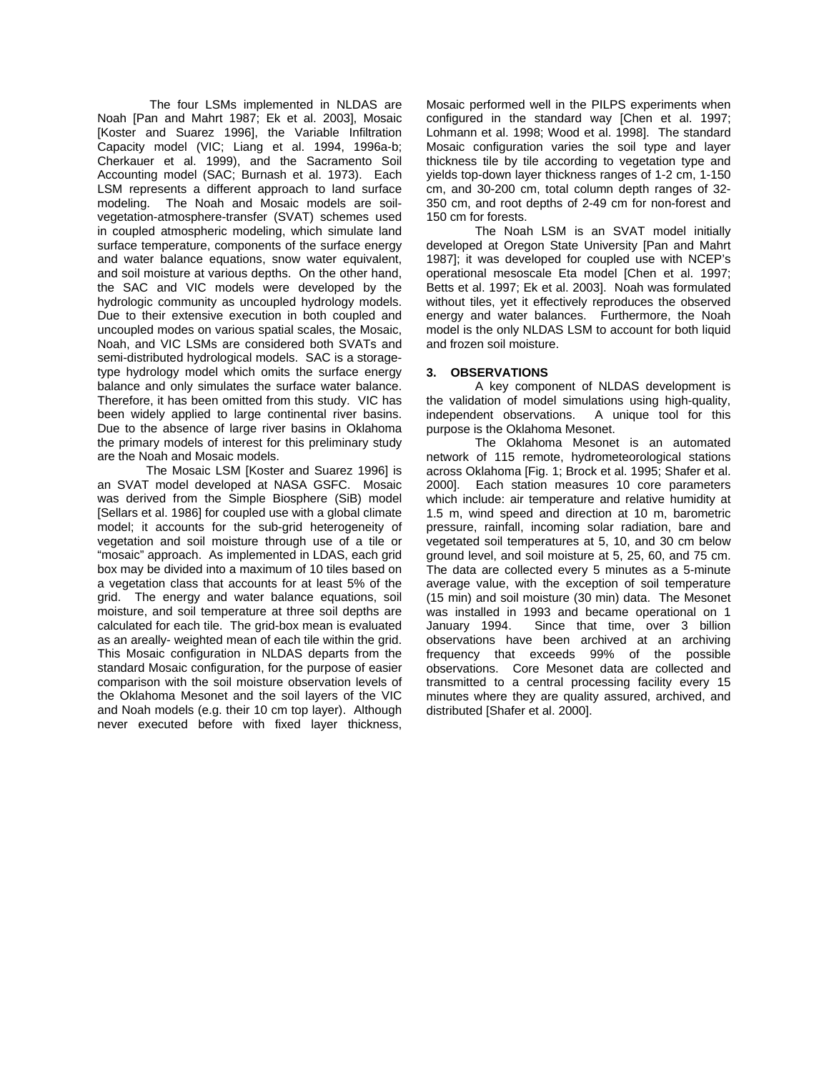The four LSMs implemented in NLDAS are Noah [Pan and Mahrt 1987; Ek et al. 2003], Mosaic [Koster and Suarez 1996], the Variable Infiltration Capacity model (VIC; Liang et al. 1994, 1996a-b; Cherkauer et al. 1999), and the Sacramento Soil Accounting model (SAC; Burnash et al. 1973). Each LSM represents a different approach to land surface modeling. The Noah and Mosaic models are soilvegetation-atmosphere-transfer (SVAT) schemes used in coupled atmospheric modeling, which simulate land surface temperature, components of the surface energy and water balance equations, snow water equivalent, and soil moisture at various depths. On the other hand, the SAC and VIC models were developed by the hydrologic community as uncoupled hydrology models. Due to their extensive execution in both coupled and uncoupled modes on various spatial scales, the Mosaic, Noah, and VIC LSMs are considered both SVATs and semi-distributed hydrological models. SAC is a storagetype hydrology model which omits the surface energy balance and only simulates the surface water balance. Therefore, it has been omitted from this study. VIC has been widely applied to large continental river basins. Due to the absence of large river basins in Oklahoma the primary models of interest for this preliminary study are the Noah and Mosaic models.

The Mosaic LSM [Koster and Suarez 1996] is an SVAT model developed at NASA GSFC. Mosaic was derived from the Simple Biosphere (SiB) model [Sellars et al. 1986] for coupled use with a global climate model; it accounts for the sub-grid heterogeneity of vegetation and soil moisture through use of a tile or "mosaic" approach. As implemented in LDAS, each grid box may be divided into a maximum of 10 tiles based on a vegetation class that accounts for at least 5% of the grid. The energy and water balance equations, soil moisture, and soil temperature at three soil depths are calculated for each tile. The grid-box mean is evaluated as an areally- weighted mean of each tile within the grid. This Mosaic configuration in NLDAS departs from the standard Mosaic configuration, for the purpose of easier comparison with the soil moisture observation levels of the Oklahoma Mesonet and the soil layers of the VIC and Noah models (e.g. their 10 cm top layer). Although never executed before with fixed layer thickness,

Mosaic performed well in the PILPS experiments when configured in the standard way [Chen et al. 1997; Lohmann et al. 1998; Wood et al. 1998]. The standard Mosaic configuration varies the soil type and layer thickness tile by tile according to vegetation type and yields top-down layer thickness ranges of 1-2 cm, 1-150 cm, and 30-200 cm, total column depth ranges of 32- 350 cm, and root depths of 2-49 cm for non-forest and 150 cm for forests.

 The Noah LSM is an SVAT model initially developed at Oregon State University [Pan and Mahrt 1987]; it was developed for coupled use with NCEP's operational mesoscale Eta model [Chen et al. 1997; Betts et al. 1997; Ek et al. 2003]. Noah was formulated without tiles, yet it effectively reproduces the observed energy and water balances. Furthermore, the Noah model is the only NLDAS LSM to account for both liquid and frozen soil moisture.

# **3. OBSERVATIONS**

 A key component of NLDAS development is the validation of model simulations using high-quality, independent observations. A unique tool for this purpose is the Oklahoma Mesonet.

 The Oklahoma Mesonet is an automated network of 115 remote, hydrometeorological stations across Oklahoma [Fig. 1; Brock et al. 1995; Shafer et al. 2000]. Each station measures 10 core parameters which include: air temperature and relative humidity at 1.5 m, wind speed and direction at 10 m, barometric pressure, rainfall, incoming solar radiation, bare and vegetated soil temperatures at 5, 10, and 30 cm below ground level, and soil moisture at 5, 25, 60, and 75 cm. The data are collected every 5 minutes as a 5-minute average value, with the exception of soil temperature (15 min) and soil moisture (30 min) data. The Mesonet was installed in 1993 and became operational on 1 January 1994. Since that time, over 3 billion observations have been archived at an archiving frequency that exceeds 99% of the possible observations. Core Mesonet data are collected and transmitted to a central processing facility every 15 minutes where they are quality assured, archived, and distributed [Shafer et al. 2000].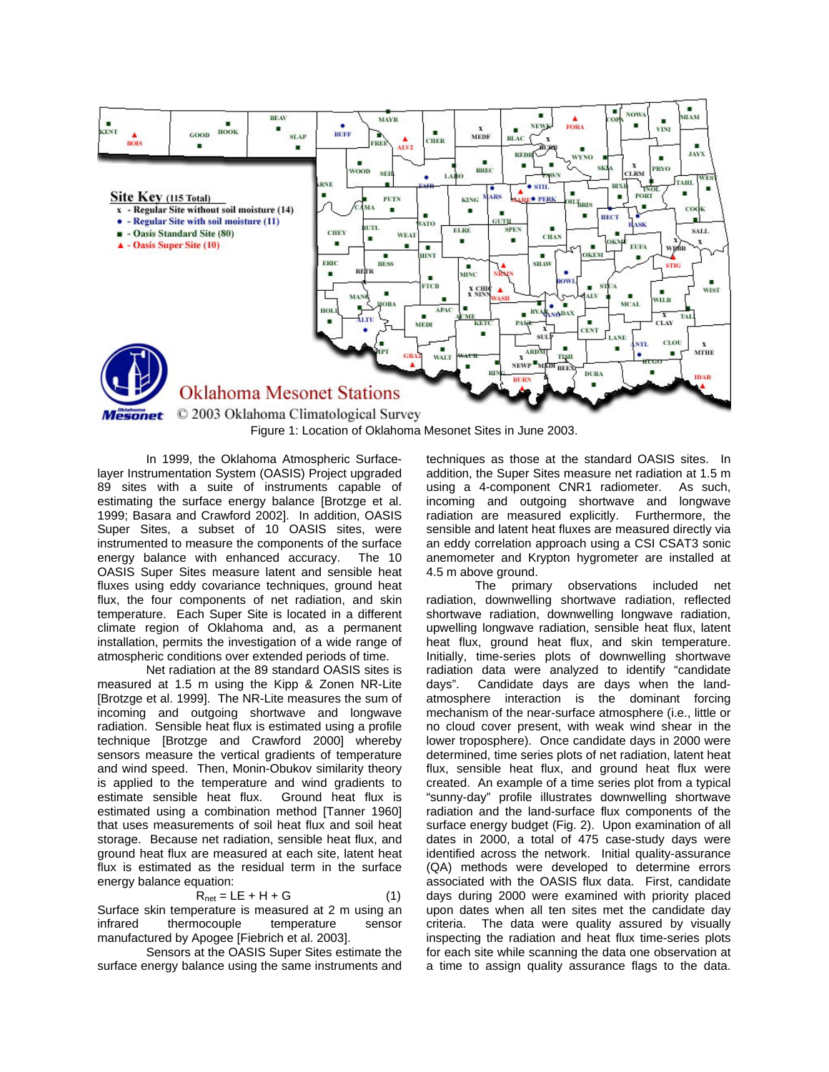

 In 1999, the Oklahoma Atmospheric Surfacelayer Instrumentation System (OASIS) Project upgraded 89 sites with a suite of instruments capable of estimating the surface energy balance [Brotzge et al. 1999; Basara and Crawford 2002]. In addition, OASIS Super Sites, a subset of 10 OASIS sites, were instrumented to measure the components of the surface energy balance with enhanced accuracy. The 10 OASIS Super Sites measure latent and sensible heat fluxes using eddy covariance techniques, ground heat flux, the four components of net radiation, and skin temperature. Each Super Site is located in a different climate region of Oklahoma and, as a permanent installation, permits the investigation of a wide range of atmospheric conditions over extended periods of time.

 Net radiation at the 89 standard OASIS sites is measured at 1.5 m using the Kipp & Zonen NR-Lite [Brotzge et al. 1999]. The NR-Lite measures the sum of incoming and outgoing shortwave and longwave radiation. Sensible heat flux is estimated using a profile technique [Brotzge and Crawford 2000] whereby sensors measure the vertical gradients of temperature and wind speed. Then, Monin-Obukov similarity theory is applied to the temperature and wind gradients to estimate sensible heat flux. Ground heat flux is estimated using a combination method [Tanner 1960] that uses measurements of soil heat flux and soil heat storage. Because net radiation, sensible heat flux, and ground heat flux are measured at each site, latent heat flux is estimated as the residual term in the surface energy balance equation:

$$
R_{\text{net}} = LE + H + G \tag{1}
$$

Surface skin temperature is measured at 2 m using an infrared thermocouple temperature sensor manufactured by Apogee [Fiebrich et al. 2003].

 Sensors at the OASIS Super Sites estimate the surface energy balance using the same instruments and

techniques as those at the standard OASIS sites. In addition, the Super Sites measure net radiation at 1.5 m using a 4-component CNR1 radiometer. As such, incoming and outgoing shortwave and longwave radiation are measured explicitly. Furthermore, the sensible and latent heat fluxes are measured directly via an eddy correlation approach using a CSI CSAT3 sonic anemometer and Krypton hygrometer are installed at 4.5 m above ground.

 The primary observations included net radiation, downwelling shortwave radiation, reflected shortwave radiation, downwelling longwave radiation, upwelling longwave radiation, sensible heat flux, latent heat flux, ground heat flux, and skin temperature. Initially, time-series plots of downwelling shortwave radiation data were analyzed to identify "candidate days". Candidate days are days when the landatmosphere interaction is the dominant forcing mechanism of the near-surface atmosphere (i.e., little or no cloud cover present, with weak wind shear in the lower troposphere). Once candidate days in 2000 were determined, time series plots of net radiation, latent heat flux, sensible heat flux, and ground heat flux were created. An example of a time series plot from a typical "sunny-day" profile illustrates downwelling shortwave radiation and the land-surface flux components of the surface energy budget (Fig. 2). Upon examination of all dates in 2000, a total of 475 case-study days were identified across the network. Initial quality-assurance (QA) methods were developed to determine errors associated with the OASIS flux data. First, candidate days during 2000 were examined with priority placed upon dates when all ten sites met the candidate day criteria. The data were quality assured by visually inspecting the radiation and heat flux time-series plots for each site while scanning the data one observation at a time to assign quality assurance flags to the data.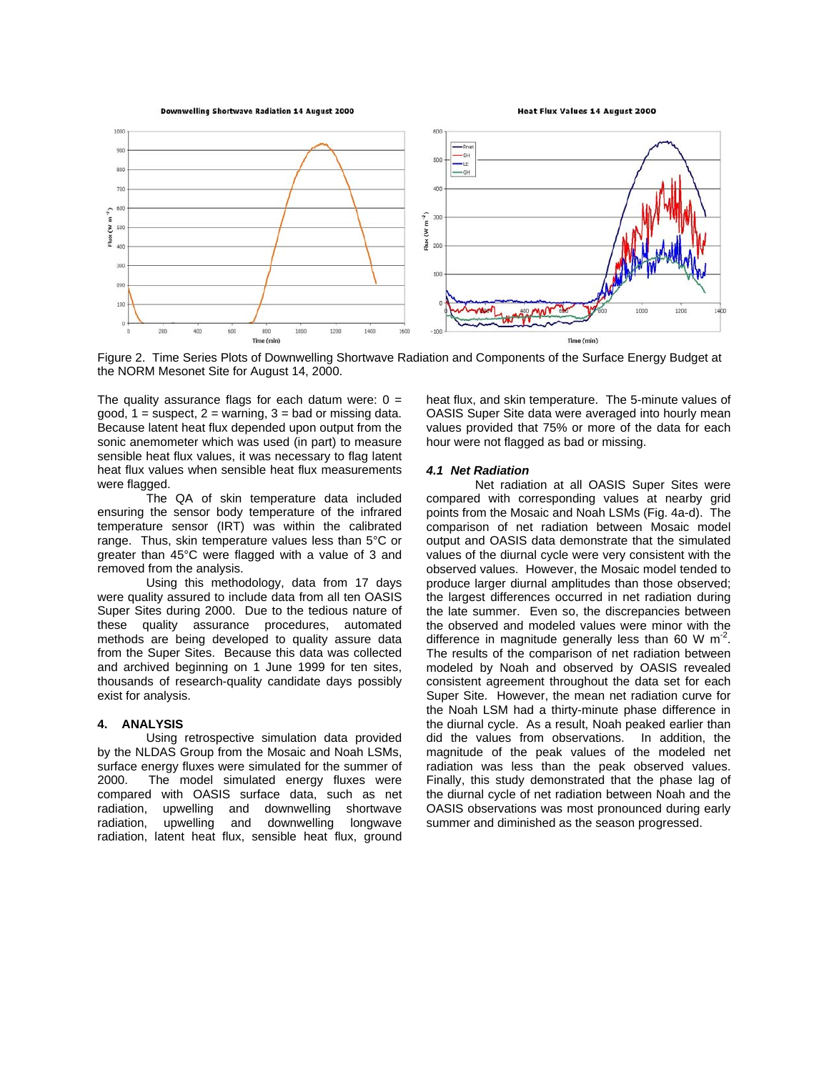**Downwelling Shortwave Radiation 14 August 2000** 

**Heat Flux Values 14 August 2000** 



Figure 2. Time Series Plots of Downwelling Shortwave Radiation and Components of the Surface Energy Budget at the NORM Mesonet Site for August 14, 2000.

The quality assurance flags for each datum were:  $0 =$ good,  $1 =$  suspect,  $2 =$  warning,  $3 =$  bad or missing data. Because latent heat flux depended upon output from the sonic anemometer which was used (in part) to measure sensible heat flux values, it was necessary to flag latent heat flux values when sensible heat flux measurements were flagged.

 The QA of skin temperature data included ensuring the sensor body temperature of the infrared temperature sensor (IRT) was within the calibrated range. Thus, skin temperature values less than 5°C or greater than 45°C were flagged with a value of 3 and removed from the analysis.

 Using this methodology, data from 17 days were quality assured to include data from all ten OASIS Super Sites during 2000. Due to the tedious nature of these quality assurance procedures, automated methods are being developed to quality assure data from the Super Sites. Because this data was collected and archived beginning on 1 June 1999 for ten sites, thousands of research-quality candidate days possibly exist for analysis.

# **4. ANALYSIS**

 Using retrospective simulation data provided by the NLDAS Group from the Mosaic and Noah LSMs, surface energy fluxes were simulated for the summer of 2000. The model simulated energy fluxes were The model simulated energy fluxes were compared with OASIS surface data, such as net radiation, upwelling and downwelling shortwave<br>radiation, upwelling and downwelling longwave radiation, upwelling and downwelling longwave radiation, latent heat flux, sensible heat flux, ground heat flux, and skin temperature. The 5-minute values of OASIS Super Site data were averaged into hourly mean values provided that 75% or more of the data for each hour were not flagged as bad or missing.

### *4.1 Net Radiation*

 Net radiation at all OASIS Super Sites were compared with corresponding values at nearby grid points from the Mosaic and Noah LSMs (Fig. 4a-d). The comparison of net radiation between Mosaic model output and OASIS data demonstrate that the simulated values of the diurnal cycle were very consistent with the observed values. However, the Mosaic model tended to produce larger diurnal amplitudes than those observed; the largest differences occurred in net radiation during the late summer. Even so, the discrepancies between the observed and modeled values were minor with the difference in magnitude generally less than 60 W  $m<sup>-2</sup>$ . The results of the comparison of net radiation between modeled by Noah and observed by OASIS revealed consistent agreement throughout the data set for each Super Site. However, the mean net radiation curve for the Noah LSM had a thirty-minute phase difference in the diurnal cycle. As a result, Noah peaked earlier than did the values from observations. In addition, the magnitude of the peak values of the modeled net radiation was less than the peak observed values. Finally, this study demonstrated that the phase lag of the diurnal cycle of net radiation between Noah and the OASIS observations was most pronounced during early summer and diminished as the season progressed.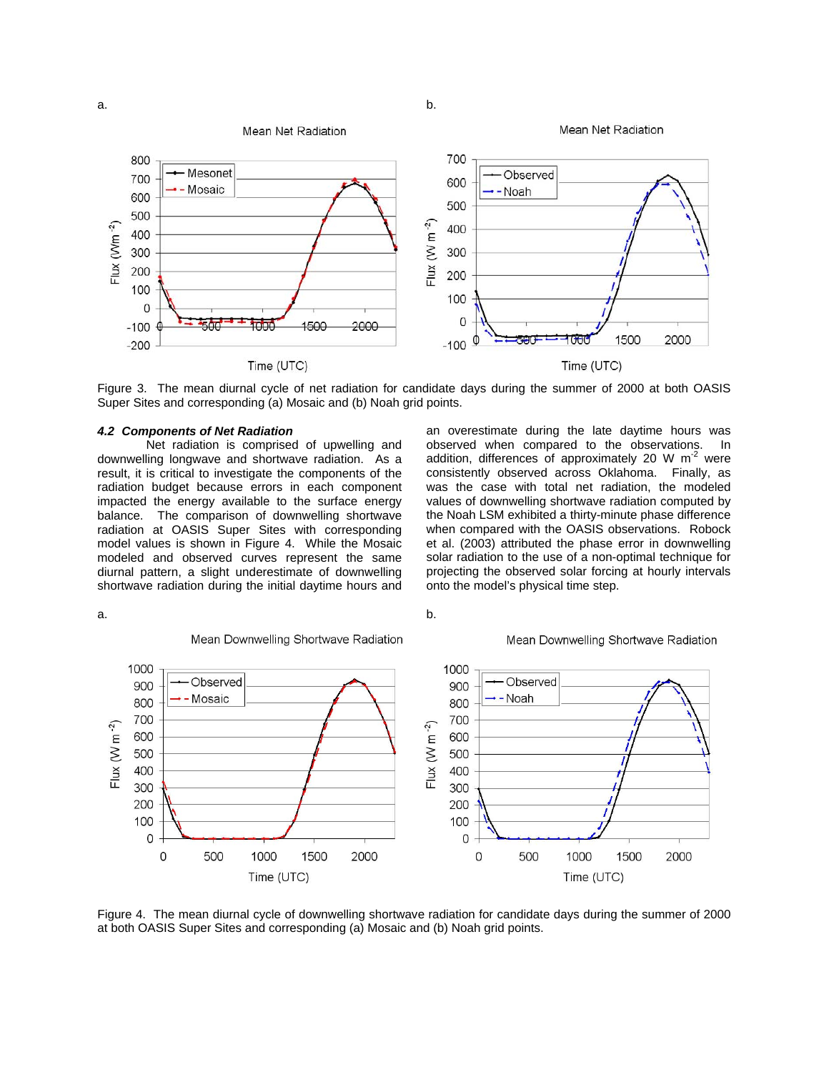

Figure 3. The mean diurnal cycle of net radiation for candidate days during the summer of 2000 at both OASIS Super Sites and corresponding (a) Mosaic and (b) Noah grid points.

#### *4.2 Components of Net Radiation*

 Net radiation is comprised of upwelling and downwelling longwave and shortwave radiation. As a result, it is critical to investigate the components of the radiation budget because errors in each component impacted the energy available to the surface energy balance. The comparison of downwelling shortwave radiation at OASIS Super Sites with corresponding model values is shown in Figure 4. While the Mosaic modeled and observed curves represent the same diurnal pattern, a slight underestimate of downwelling shortwave radiation during the initial daytime hours and

an overestimate during the late daytime hours was observed when compared to the observations. In addition, differences of approximately 20 W  $m<sup>-2</sup>$  were consistently observed across Oklahoma. Finally, as was the case with total net radiation, the modeled values of downwelling shortwave radiation computed by the Noah LSM exhibited a thirty-minute phase difference when compared with the OASIS observations. Robock et al. (2003) attributed the phase error in downwelling solar radiation to the use of a non-optimal technique for projecting the observed solar forcing at hourly intervals onto the model's physical time step.

Mean Downwelling Shortwave Radiation





Mean Downwelling Shortwave Radiation

Figure 4. The mean diurnal cycle of downwelling shortwave radiation for candidate days during the summer of 2000 at both OASIS Super Sites and corresponding (a) Mosaic and (b) Noah grid points.

 $a.$  b.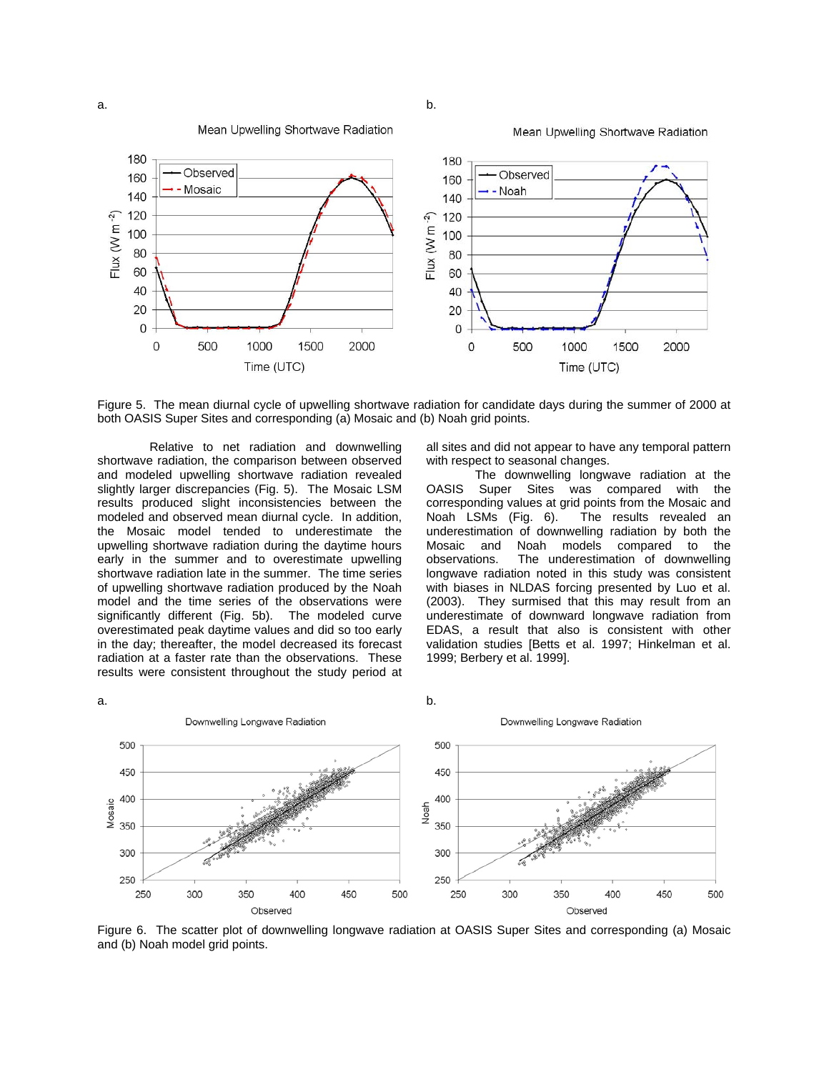

Figure 5. The mean diurnal cycle of upwelling shortwave radiation for candidate days during the summer of 2000 at both OASIS Super Sites and corresponding (a) Mosaic and (b) Noah grid points.

 Relative to net radiation and downwelling shortwave radiation, the comparison between observed and modeled upwelling shortwave radiation revealed slightly larger discrepancies (Fig. 5). The Mosaic LSM results produced slight inconsistencies between the modeled and observed mean diurnal cycle. In addition, the Mosaic model tended to underestimate the upwelling shortwave radiation during the daytime hours early in the summer and to overestimate upwelling shortwave radiation late in the summer. The time series of upwelling shortwave radiation produced by the Noah model and the time series of the observations were significantly different (Fig. 5b). The modeled curve overestimated peak daytime values and did so too early in the day; thereafter, the model decreased its forecast radiation at a faster rate than the observations. These results were consistent throughout the study period at all sites and did not appear to have any temporal pattern with respect to seasonal changes.

 The downwelling longwave radiation at the OASIS Super Sites was compared with the corresponding values at grid points from the Mosaic and Noah LSMs (Fig. 6). The results revealed an underestimation of downwelling radiation by both the Mosaic and Noah models compared to the observations. The underestimation of downwelling longwave radiation noted in this study was consistent with biases in NLDAS forcing presented by Luo et al. (2003). They surmised that this may result from an underestimate of downward longwave radiation from EDAS, a result that also is consistent with other validation studies [Betts et al. 1997; Hinkelman et al. 1999; Berbery et al. 1999].



Figure 6. The scatter plot of downwelling longwave radiation at OASIS Super Sites and corresponding (a) Mosaic and (b) Noah model grid points.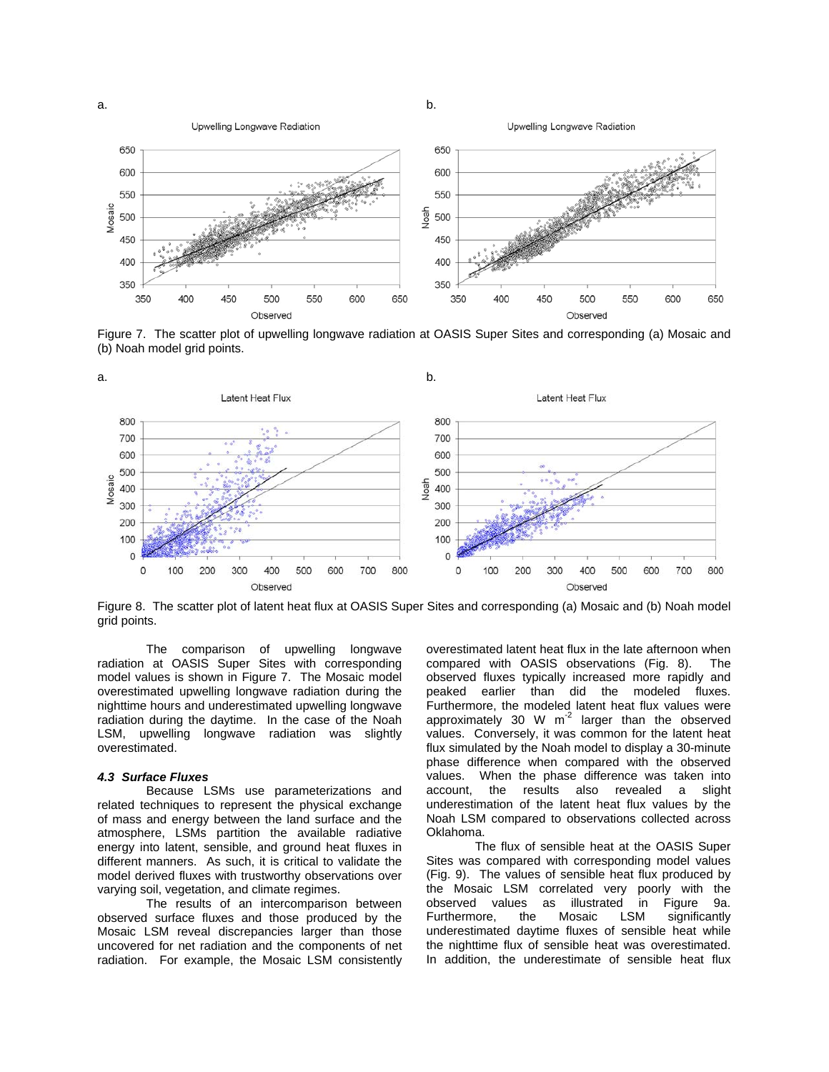

Figure 7. The scatter plot of upwelling longwave radiation at OASIS Super Sites and corresponding (a) Mosaic and (b) Noah model grid points.



Figure 8. The scatter plot of latent heat flux at OASIS Super Sites and corresponding (a) Mosaic and (b) Noah model grid points.

 The comparison of upwelling longwave radiation at OASIS Super Sites with corresponding model values is shown in Figure 7. The Mosaic model overestimated upwelling longwave radiation during the nighttime hours and underestimated upwelling longwave radiation during the daytime. In the case of the Noah LSM, upwelling longwave radiation was slightly overestimated.

#### *4.3 Surface Fluxes*

 Because LSMs use parameterizations and related techniques to represent the physical exchange of mass and energy between the land surface and the atmosphere, LSMs partition the available radiative energy into latent, sensible, and ground heat fluxes in different manners. As such, it is critical to validate the model derived fluxes with trustworthy observations over varying soil, vegetation, and climate regimes.

 The results of an intercomparison between observed surface fluxes and those produced by the Mosaic LSM reveal discrepancies larger than those uncovered for net radiation and the components of net radiation. For example, the Mosaic LSM consistently overestimated latent heat flux in the late afternoon when compared with OASIS observations (Fig. 8). The observed fluxes typically increased more rapidly and peaked earlier than did the modeled fluxes. Furthermore, the modeled latent heat flux values were approximately 30 W  $m^{-2}$  larger than the observed values. Conversely, it was common for the latent heat flux simulated by the Noah model to display a 30-minute phase difference when compared with the observed values. When the phase difference was taken into account, the results also revealed a slight underestimation of the latent heat flux values by the Noah LSM compared to observations collected across Oklahoma.

 The flux of sensible heat at the OASIS Super Sites was compared with corresponding model values (Fig. 9). The values of sensible heat flux produced by the Mosaic LSM correlated very poorly with the observed values as illustrated in Figure 9a. Furthermore, the Mosaic LSM significantly underestimated daytime fluxes of sensible heat while the nighttime flux of sensible heat was overestimated. In addition, the underestimate of sensible heat flux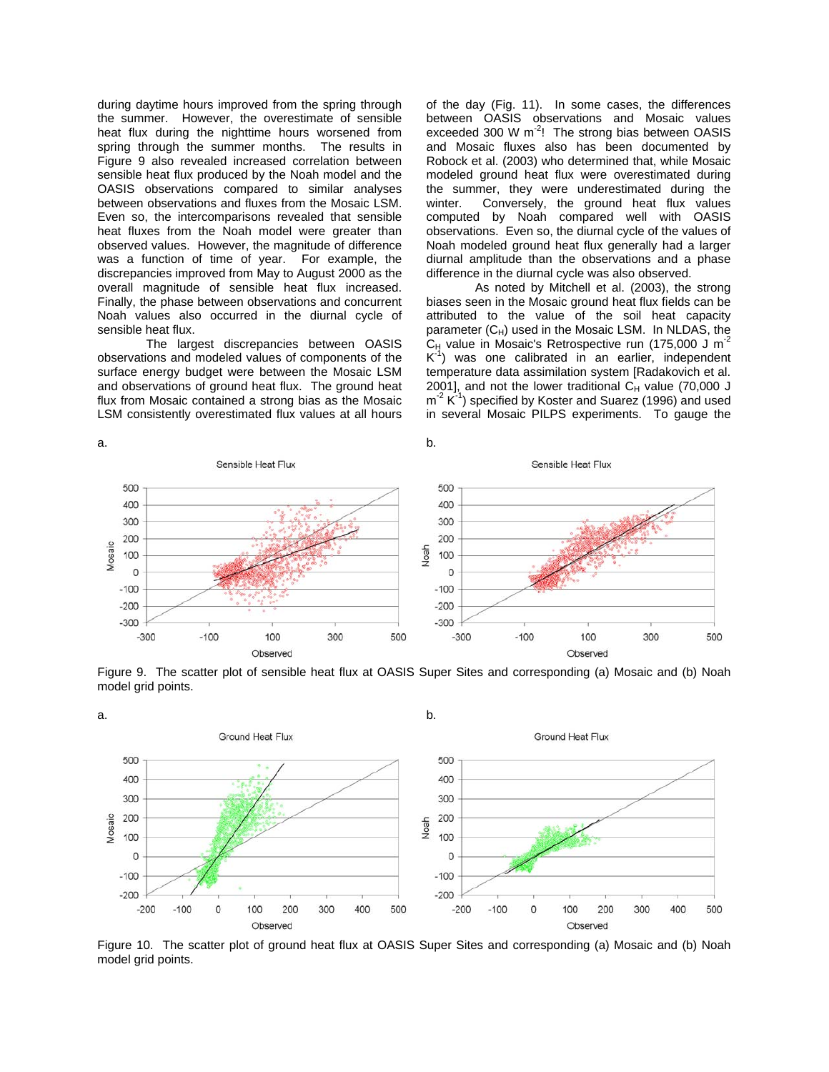during daytime hours improved from the spring through the summer. However, the overestimate of sensible heat flux during the nighttime hours worsened from spring through the summer months. The results in Figure 9 also revealed increased correlation between sensible heat flux produced by the Noah model and the OASIS observations compared to similar analyses between observations and fluxes from the Mosaic LSM. Even so, the intercomparisons revealed that sensible heat fluxes from the Noah model were greater than observed values. However, the magnitude of difference was a function of time of year. For example, the discrepancies improved from May to August 2000 as the overall magnitude of sensible heat flux increased. Finally, the phase between observations and concurrent Noah values also occurred in the diurnal cycle of sensible heat flux.

 The largest discrepancies between OASIS observations and modeled values of components of the surface energy budget were between the Mosaic LSM and observations of ground heat flux. The ground heat flux from Mosaic contained a strong bias as the Mosaic LSM consistently overestimated flux values at all hours of the day (Fig. 11). In some cases, the differences between OASIS observations and Mosaic values exceeded 300 W  $m^{-2}$ ! The strong bias between OASIS and Mosaic fluxes also has been documented by Robock et al. (2003) who determined that, while Mosaic modeled ground heat flux were overestimated during the summer, they were underestimated during the winter. Conversely, the ground heat flux values computed by Noah compared well with OASIS observations. Even so, the diurnal cycle of the values of Noah modeled ground heat flux generally had a larger diurnal amplitude than the observations and a phase difference in the diurnal cycle was also observed.

 As noted by Mitchell et al. (2003), the strong biases seen in the Mosaic ground heat flux fields can be attributed to the value of the soil heat capacity parameter  $(C_H)$  used in the Mosaic LSM. In NLDAS, the  $C_{H}$  value in Mosaic's Retrospective run (175,000 J m<sup>-2</sup>  $K<sup>-1</sup>$ ) was one calibrated in an earlier, independent temperature data assimilation system [Radakovich et al. 2001], and not the lower traditional  $C_H$  value (70,000 J  $m<sup>-2</sup> K<sup>-1</sup>$ ) specified by Koster and Suarez (1996) and used in several Mosaic PILPS experiments. To gauge the



Figure 9. The scatter plot of sensible heat flux at OASIS Super Sites and corresponding (a) Mosaic and (b) Noah model grid points.



Figure 10. The scatter plot of ground heat flux at OASIS Super Sites and corresponding (a) Mosaic and (b) Noah model grid points.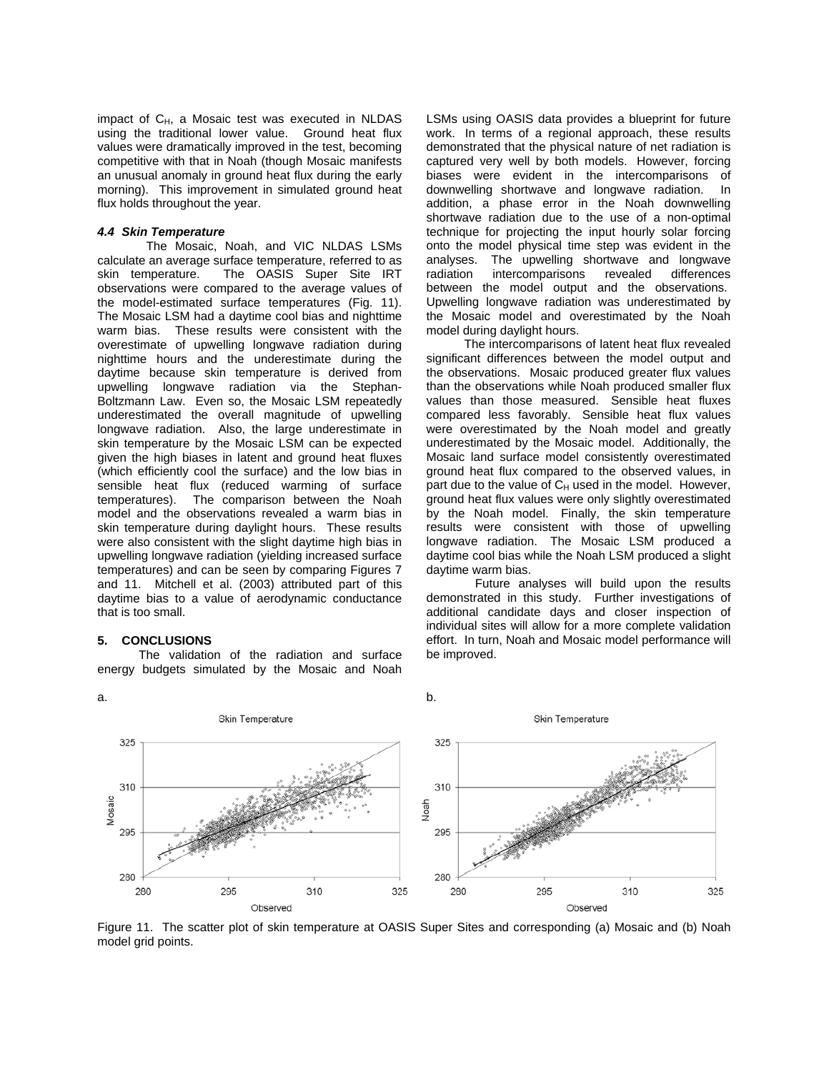impact of C<sub>H</sub>, a Mosaic test was executed in NLDAS using the traditional lower value. Ground heat flux values were dramatically improved in the test, becoming competitive with that in Noah (though Mosaic manifests an unusual anomaly in ground heat flux during the early morning). This improvement in simulated ground heat flux holds throughout the year.

#### *4.4 Skin Temperature*

 The Mosaic, Noah, and VIC NLDAS LSMs calculate an average surface temperature, referred to as skin temperature. The OASIS Super Site IRT observations were compared to the average values of the model-estimated surface temperatures (Fig. 11). The Mosaic LSM had a daytime cool bias and nighttime warm bias. These results were consistent with the overestimate of upwelling longwave radiation during nighttime hours and the underestimate during the daytime because skin temperature is derived from upwelling longwave radiation via the Stephan-Boltzmann Law. Even so, the Mosaic LSM repeatedly underestimated the overall magnitude of upwelling longwave radiation. Also, the large underestimate in skin temperature by the Mosaic LSM can be expected given the high biases in latent and ground heat fluxes (which efficiently cool the surface) and the low bias in sensible heat flux (reduced warming of surface temperatures). The comparison between the Noah model and the observations revealed a warm bias in skin temperature during daylight hours. These results were also consistent with the slight daytime high bias in upwelling longwave radiation (yielding increased surface temperatures) and can be seen by comparing Figures 7 and 11. Mitchell et al. (2003) attributed part of this daytime bias to a value of aerodynamic conductance that is too small.

## **5. CONCLUSIONS**

 The validation of the radiation and surface energy budgets simulated by the Mosaic and Noah LSMs using OASIS data provides a blueprint for future work. In terms of a regional approach, these results demonstrated that the physical nature of net radiation is captured very well by both models. However, forcing biases were evident in the intercomparisons of downwelling shortwave and longwave radiation. In addition, a phase error in the Noah downwelling shortwave radiation due to the use of a non-optimal technique for projecting the input hourly solar forcing onto the model physical time step was evident in the analyses. The upwelling shortwave and longwave radiation intercomparisons revealed differences between the model output and the observations. Upwelling longwave radiation was underestimated by the Mosaic model and overestimated by the Noah model during daylight hours.

 The intercomparisons of latent heat flux revealed significant differences between the model output and the observations. Mosaic produced greater flux values than the observations while Noah produced smaller flux values than those measured. Sensible heat fluxes compared less favorably. Sensible heat flux values were overestimated by the Noah model and greatly underestimated by the Mosaic model. Additionally, the Mosaic land surface model consistently overestimated ground heat flux compared to the observed values, in part due to the value of  $C_H$  used in the model. However, ground heat flux values were only slightly overestimated by the Noah model. Finally, the skin temperature results were consistent with those of upwelling longwave radiation. The Mosaic LSM produced a daytime cool bias while the Noah LSM produced a slight daytime warm bias.

 Future analyses will build upon the results demonstrated in this study. Further investigations of additional candidate days and closer inspection of individual sites will allow for a more complete validation effort. In turn, Noah and Mosaic model performance will be improved.





Figure 11. The scatter plot of skin temperature at OASIS Super Sites and corresponding (a) Mosaic and (b) Noah model grid points.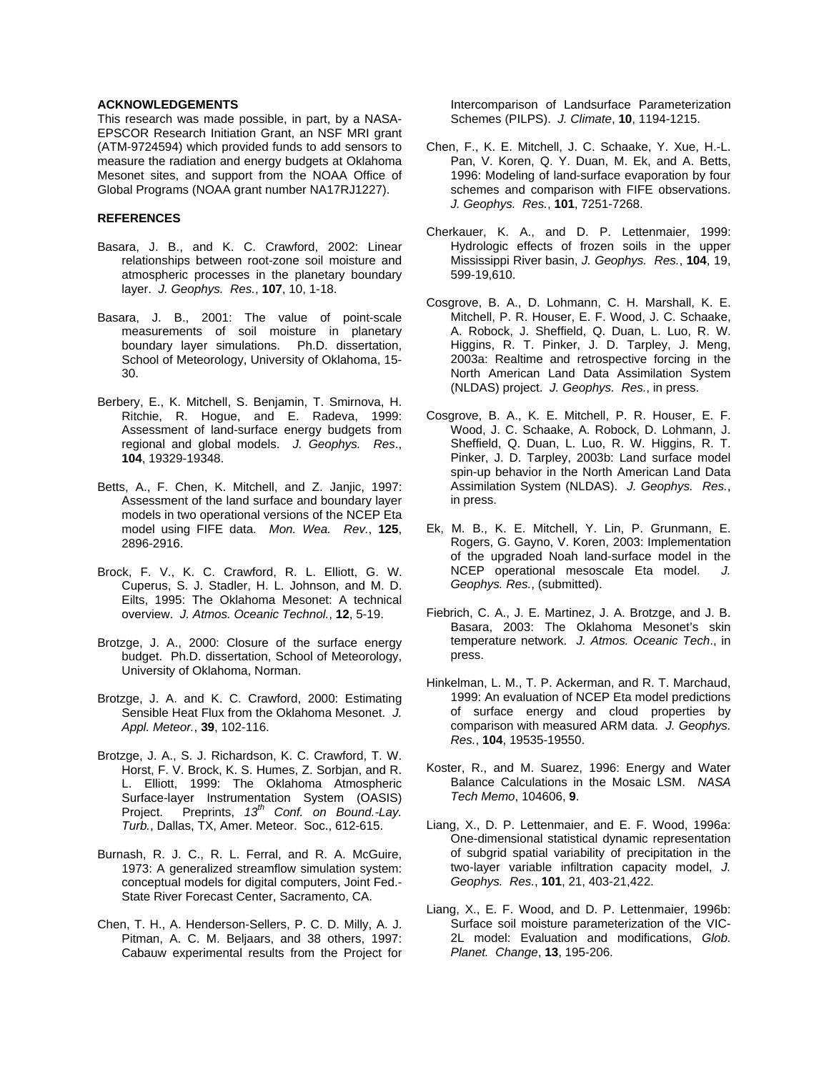# **ACKNOWLEDGEMENTS**

This research was made possible, in part, by a NASA-EPSCOR Research Initiation Grant, an NSF MRI grant (ATM-9724594) which provided funds to add sensors to measure the radiation and energy budgets at Oklahoma Mesonet sites, and support from the NOAA Office of Global Programs (NOAA grant number NA17RJ1227).

## **REFERENCES**

- Basara, J. B., and K. C. Crawford, 2002: Linear relationships between root-zone soil moisture and atmospheric processes in the planetary boundary layer. *J. Geophys. Res.*, **107**, 10, 1-18.
- Basara, J. B., 2001: The value of point-scale measurements of soil moisture in planetary boundary layer simulations. Ph.D. dissertation, School of Meteorology, University of Oklahoma, 15- 30.
- Berbery, E., K. Mitchell, S. Benjamin, T. Smirnova, H. Ritchie, R. Hogue, and E. Radeva, 1999: Assessment of land-surface energy budgets from regional and global models. *J. Geophys. Res*., **104**, 19329-19348.
- Betts, A., F. Chen, K. Mitchell, and Z. Janjic, 1997: Assessment of the land surface and boundary layer models in two operational versions of the NCEP Eta model using FIFE data. *Mon. Wea. Rev.*, **125**, 2896-2916.
- Brock, F. V., K. C. Crawford, R. L. Elliott, G. W. Cuperus, S. J. Stadler, H. L. Johnson, and M. D. Eilts, 1995: The Oklahoma Mesonet: A technical overview. *J. Atmos. Oceanic Technol.*, **12**, 5-19.
- Brotzge, J. A., 2000: Closure of the surface energy budget. Ph.D. dissertation, School of Meteorology, University of Oklahoma, Norman.
- Brotzge, J. A. and K. C. Crawford, 2000: Estimating Sensible Heat Flux from the Oklahoma Mesonet. *J. Appl. Meteor.*, **39**, 102-116.
- Brotzge, J. A., S. J. Richardson, K. C. Crawford, T. W. Horst, F. V. Brock, K. S. Humes, Z. Sorbjan, and R. L. Elliott, 1999: The Oklahoma Atmospheric Surface-layer Instrumentation System (OASIS) Project. Preprints,  $13^{th}$  Conf. on Bound.-Lay. *Turb.*, Dallas, TX, Amer. Meteor. Soc., 612-615.
- Burnash, R. J. C., R. L. Ferral, and R. A. McGuire, 1973: A generalized streamflow simulation system: conceptual models for digital computers, Joint Fed.- State River Forecast Center, Sacramento, CA.
- Chen, T. H., A. Henderson-Sellers, P. C. D. Milly, A. J. Pitman, A. C. M. Beljaars, and 38 others, 1997: Cabauw experimental results from the Project for

Intercomparison of Landsurface Parameterization Schemes (PILPS). *J. Climate*, **10**, 1194-1215.

- Chen, F., K. E. Mitchell, J. C. Schaake, Y. Xue, H.-L. Pan, V. Koren, Q. Y. Duan, M. Ek, and A. Betts, 1996: Modeling of land-surface evaporation by four schemes and comparison with FIFE observations. *J. Geophys. Res.*, **101**, 7251-7268.
- Cherkauer, K. A., and D. P. Lettenmaier, 1999: Hydrologic effects of frozen soils in the upper Mississippi River basin, *J. Geophys. Res.*, **104**, 19, 599-19,610.
- Cosgrove, B. A., D. Lohmann, C. H. Marshall, K. E. Mitchell, P. R. Houser, E. F. Wood, J. C. Schaake, A. Robock, J. Sheffield, Q. Duan, L. Luo, R. W. Higgins, R. T. Pinker, J. D. Tarpley, J. Meng, 2003a: Realtime and retrospective forcing in the North American Land Data Assimilation System (NLDAS) project. *J. Geophys. Res.*, in press.
- Cosgrove, B. A., K. E. Mitchell, P. R. Houser, E. F. Wood, J. C. Schaake, A. Robock, D. Lohmann, J. Sheffield, Q. Duan, L. Luo, R. W. Higgins, R. T. Pinker, J. D. Tarpley, 2003b: Land surface model spin-up behavior in the North American Land Data Assimilation System (NLDAS). *J. Geophys. Res.*, in press.
- Ek, M. B., K. E. Mitchell, Y. Lin, P. Grunmann, E. Rogers, G. Gayno, V. Koren, 2003: Implementation of the upgraded Noah land-surface model in the NCEP operational mesoscale Eta model. *J. Geophys. Res.*, (submitted).
- Fiebrich, C. A., J. E. Martinez, J. A. Brotzge, and J. B. Basara, 2003: The Oklahoma Mesonet's skin temperature network. *J. Atmos. Oceanic Tech*., in press.
- Hinkelman, L. M., T. P. Ackerman, and R. T. Marchaud, 1999: An evaluation of NCEP Eta model predictions of surface energy and cloud properties by comparison with measured ARM data. *J. Geophys. Res.*, **104**, 19535-19550.
- Koster, R., and M. Suarez, 1996: Energy and Water Balance Calculations in the Mosaic LSM. *NASA Tech Memo*, 104606, **9**.
- Liang, X., D. P. Lettenmaier, and E. F. Wood, 1996a: One-dimensional statistical dynamic representation of subgrid spatial variability of precipitation in the two-layer variable infiltration capacity model, *J. Geophys. Res.*, **101**, 21, 403-21,422.
- Liang, X., E. F. Wood, and D. P. Lettenmaier, 1996b: Surface soil moisture parameterization of the VIC-2L model: Evaluation and modifications, *Glob. Planet. Change*, **13**, 195-206.